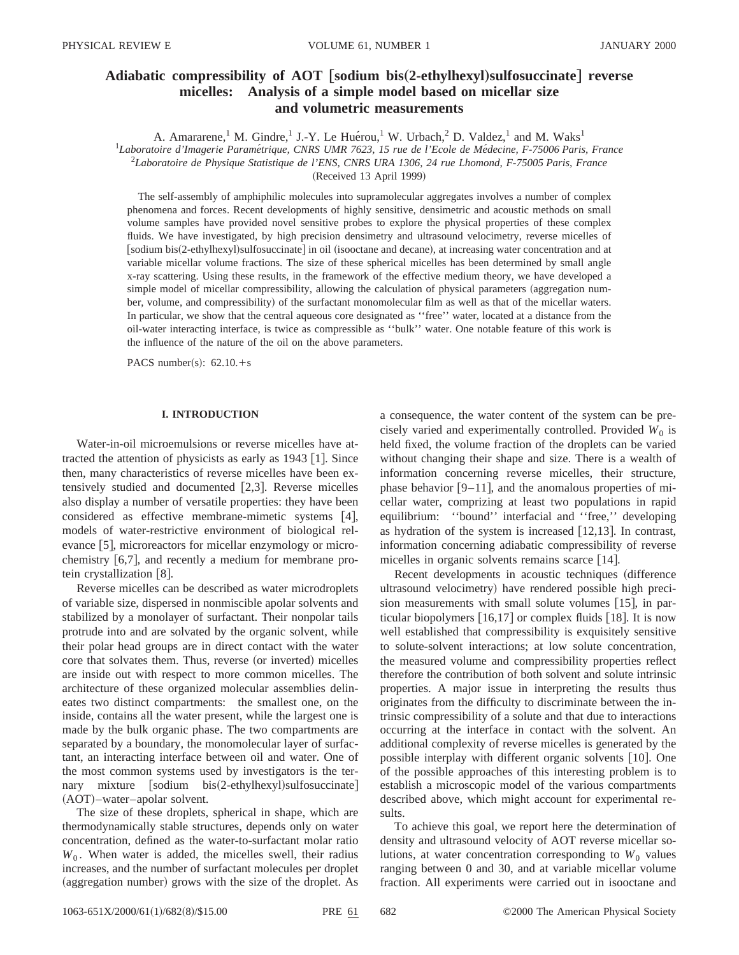# **Adiabatic compressibility of AOT** †**sodium bis**"**2-ethylhexyl**…**sulfosuccinate**‡ **reverse micelles: Analysis of a simple model based on micellar size and volumetric measurements**

A. Amararene,<sup>1</sup> M. Gindre,<sup>1</sup> J.-Y. Le Huérou,<sup>1</sup> W. Urbach,<sup>2</sup> D. Valdez,<sup>1</sup> and M. Waks<sup>1</sup> <sup>1</sup>Laboratoire d'Imagerie Paramétrique, CNRS UMR 7623, 15 rue de l'Ecole de Médecine, F-75006 Paris, France 2 *Laboratoire de Physique Statistique de l'ENS, CNRS URA 1306, 24 rue Lhomond, F-75005 Paris, France* (Received 13 April 1999)

The self-assembly of amphiphilic molecules into supramolecular aggregates involves a number of complex phenomena and forces. Recent developments of highly sensitive, densimetric and acoustic methods on small volume samples have provided novel sensitive probes to explore the physical properties of these complex fluids. We have investigated, by high precision densimetry and ultrasound velocimetry, reverse micelles of [sodium bis(2-ethylhexyl)sulfosuccinate] in oil (isooctane and decane), at increasing water concentration and at variable micellar volume fractions. The size of these spherical micelles has been determined by small angle x-ray scattering. Using these results, in the framework of the effective medium theory, we have developed a simple model of micellar compressibility, allowing the calculation of physical parameters (aggregation number, volume, and compressibility) of the surfactant monomolecular film as well as that of the micellar waters. In particular, we show that the central aqueous core designated as ''free'' water, located at a distance from the oil-water interacting interface, is twice as compressible as ''bulk'' water. One notable feature of this work is the influence of the nature of the oil on the above parameters.

PACS number(s):  $62.10.+s$ 

# **I. INTRODUCTION**

Water-in-oil microemulsions or reverse micelles have attracted the attention of physicists as early as  $1943$  [1]. Since then, many characteristics of reverse micelles have been extensively studied and documented  $[2,3]$ . Reverse micelles also display a number of versatile properties: they have been considered as effective membrane-mimetic systems  $[4]$ , models of water-restrictive environment of biological relevance  $[5]$ , microreactors for micellar enzymology or microchemistry  $[6,7]$ , and recently a medium for membrane protein crystallization  $[8]$ .

Reverse micelles can be described as water microdroplets of variable size, dispersed in nonmiscible apolar solvents and stabilized by a monolayer of surfactant. Their nonpolar tails protrude into and are solvated by the organic solvent, while their polar head groups are in direct contact with the water core that solvates them. Thus, reverse (or inverted) micelles are inside out with respect to more common micelles. The architecture of these organized molecular assemblies delineates two distinct compartments: the smallest one, on the inside, contains all the water present, while the largest one is made by the bulk organic phase. The two compartments are separated by a boundary, the monomolecular layer of surfactant, an interacting interface between oil and water. One of the most common systems used by investigators is the ternary mixture  $|s$ odium bis $(2$ -ethylhexyl $s$ ulfosuccinate  $(AOT)$ –water–apolar solvent.

The size of these droplets, spherical in shape, which are thermodynamically stable structures, depends only on water concentration, defined as the water-to-surfactant molar ratio  $W_0$ . When water is added, the micelles swell, their radius increases, and the number of surfactant molecules per droplet (aggregation number) grows with the size of the droplet. As a consequence, the water content of the system can be precisely varied and experimentally controlled. Provided  $W_0$  is held fixed, the volume fraction of the droplets can be varied without changing their shape and size. There is a wealth of information concerning reverse micelles, their structure, phase behavior  $[9-11]$ , and the anomalous properties of micellar water, comprizing at least two populations in rapid equilibrium: ''bound'' interfacial and ''free,'' developing as hydration of the system is increased  $[12,13]$ . In contrast, information concerning adiabatic compressibility of reverse micelles in organic solvents remains scarce  $[14]$ .

Recent developments in acoustic techniques (difference ultrasound velocimetry) have rendered possible high precision measurements with small solute volumes  $[15]$ , in particular biopolymers  $[16,17]$  or complex fluids  $[18]$ . It is now well established that compressibility is exquisitely sensitive to solute-solvent interactions; at low solute concentration, the measured volume and compressibility properties reflect therefore the contribution of both solvent and solute intrinsic properties. A major issue in interpreting the results thus originates from the difficulty to discriminate between the intrinsic compressibility of a solute and that due to interactions occurring at the interface in contact with the solvent. An additional complexity of reverse micelles is generated by the possible interplay with different organic solvents  $[10]$ . One of the possible approaches of this interesting problem is to establish a microscopic model of the various compartments described above, which might account for experimental results.

To achieve this goal, we report here the determination of density and ultrasound velocity of AOT reverse micellar solutions, at water concentration corresponding to  $W_0$  values ranging between 0 and 30, and at variable micellar volume fraction. All experiments were carried out in isooctane and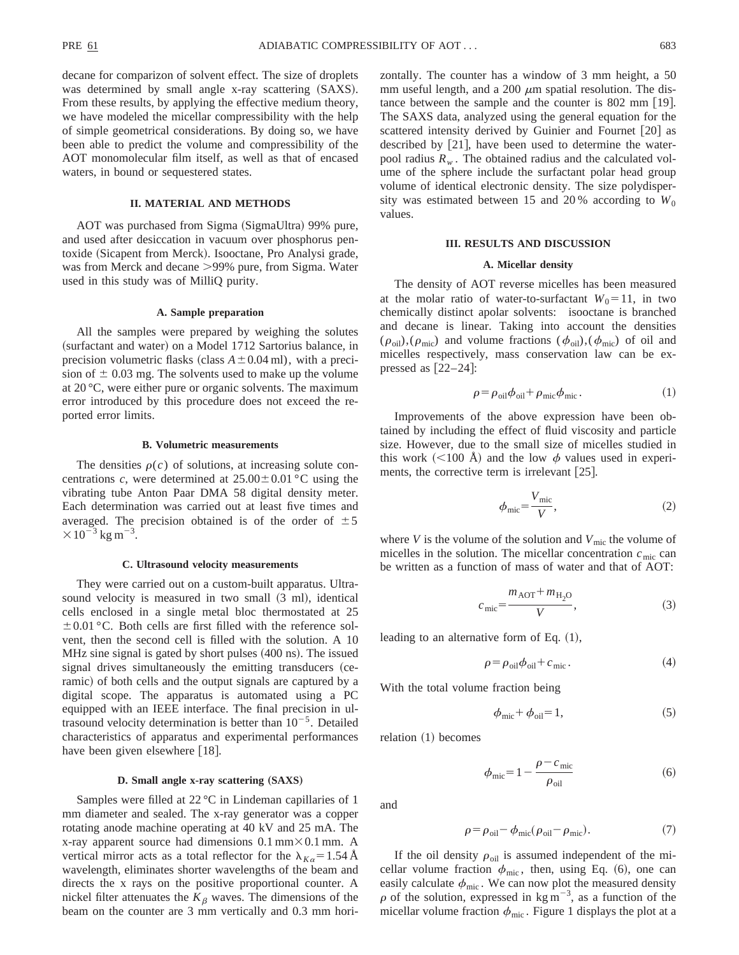decane for comparizon of solvent effect. The size of droplets was determined by small angle x-ray scattering  $(SAXS)$ . From these results, by applying the effective medium theory, we have modeled the micellar compressibility with the help of simple geometrical considerations. By doing so, we have been able to predict the volume and compressibility of the AOT monomolecular film itself, as well as that of encased waters, in bound or sequestered states.

# **II. MATERIAL AND METHODS**

AOT was purchased from Sigma (SigmaUltra) 99% pure, and used after desiccation in vacuum over phosphorus pentoxide (Sicapent from Merck). Isooctane, Pro Analysi grade, was from Merck and decane  $>99\%$  pure, from Sigma. Water used in this study was of MilliQ purity.

## **A. Sample preparation**

All the samples were prepared by weighing the solutes (surfactant and water) on a Model 1712 Sartorius balance, in precision volumetric flasks (class  $A \pm 0.04$  ml), with a precision of  $\pm$  0.03 mg. The solvents used to make up the volume at 20 °C, were either pure or organic solvents. The maximum error introduced by this procedure does not exceed the reported error limits.

#### **B. Volumetric measurements**

The densities  $\rho(c)$  of solutions, at increasing solute concentrations *c*, were determined at  $25.00 \pm 0.01$  °C using the vibrating tube Anton Paar DMA 58 digital density meter. Each determination was carried out at least five times and averaged. The precision obtained is of the order of  $\pm 5$  $\times 10^{-3}$  kg m<sup>-3</sup>.

#### **C. Ultrasound velocity measurements**

They were carried out on a custom-built apparatus. Ultrasound velocity is measured in two small  $(3 \text{ ml})$ , identical cells enclosed in a single metal bloc thermostated at 25  $\pm 0.01$  °C. Both cells are first filled with the reference solvent, then the second cell is filled with the solution. A 10 MHz sine signal is gated by short pulses  $(400 \text{ ns})$ . The issued signal drives simultaneously the emitting transducers (ceramic) of both cells and the output signals are captured by a digital scope. The apparatus is automated using a PC equipped with an IEEE interface. The final precision in ultrasound velocity determination is better than  $10^{-5}$ . Detailed characteristics of apparatus and experimental performances have been given elsewhere  $[18]$ .

# **D. Small angle x-ray scattering (SAXS)**

Samples were filled at 22 °C in Lindeman capillaries of 1 mm diameter and sealed. The x-ray generator was a copper rotating anode machine operating at 40 kV and 25 mA. The x-ray apparent source had dimensions  $0.1 \text{ mm} \times 0.1 \text{ mm}$ . A vertical mirror acts as a total reflector for the  $\lambda_{K\alpha} = 1.54$  Å wavelength, eliminates shorter wavelengths of the beam and directs the x rays on the positive proportional counter. A nickel filter attenuates the  $K_{\beta}$  waves. The dimensions of the beam on the counter are 3 mm vertically and 0.3 mm horizontally. The counter has a window of 3 mm height, a 50 mm useful length, and a 200  $\mu$ m spatial resolution. The distance between the sample and the counter is  $802 \text{ mm}$  [19]. The SAXS data, analyzed using the general equation for the scattered intensity derived by Guinier and Fournet [20] as described by  $[21]$ , have been used to determine the waterpool radius  $R_w$ . The obtained radius and the calculated volume of the sphere include the surfactant polar head group volume of identical electronic density. The size polydispersity was estimated between 15 and 20% according to  $W_0$ values.

#### **III. RESULTS AND DISCUSSION**

## **A. Micellar density**

The density of AOT reverse micelles has been measured at the molar ratio of water-to-surfactant  $W_0 = 11$ , in two chemically distinct apolar solvents: isooctane is branched and decane is linear. Taking into account the densities  $(\rho_{\text{oil}}),(\rho_{\text{mic}})$  and volume fractions  $(\phi_{\text{oil}}),(\phi_{\text{mic}})$  of oil and micelles respectively, mass conservation law can be expressed as  $[22-24]$ :

$$
\rho = \rho_{\text{oil}} \phi_{\text{oil}} + \rho_{\text{mic}} \phi_{\text{mic}}.
$$
\n(1)

Improvements of the above expression have been obtained by including the effect of fluid viscosity and particle size. However, due to the small size of micelles studied in this work (<100 Å) and the low  $\phi$  values used in experiments, the corrective term is irrelevant  $[25]$ .

$$
\phi_{\text{mic}} = \frac{V_{\text{mic}}}{V},\tag{2}
$$

where *V* is the volume of the solution and  $V_{\text{mic}}$  the volume of micelles in the solution. The micellar concentration  $c_{\text{mic}}$  can be written as a function of mass of water and that of AOT:

$$
c_{\rm mic} = \frac{m_{\rm AOT} + m_{\rm H_2O}}{V},\tag{3}
$$

leading to an alternative form of Eq.  $(1)$ ,

$$
\rho = \rho_{\text{oil}} \phi_{\text{oil}} + c_{\text{mic}}.
$$
\n(4)

With the total volume fraction being

$$
\phi_{\text{mic}} + \phi_{\text{oil}} = 1,\tag{5}
$$

relation  $(1)$  becomes

$$
\phi_{\text{mic}} = 1 - \frac{\rho - c_{\text{mic}}}{\rho_{\text{oil}}}
$$
\n(6)

and

$$
\rho = \rho_{\text{oil}} - \phi_{\text{mic}}(\rho_{\text{oil}} - \rho_{\text{mic}}). \tag{7}
$$

If the oil density  $\rho_{\text{oil}}$  is assumed independent of the micellar volume fraction  $\phi_{\text{mic}}$ , then, using Eq. (6), one can easily calculate  $\phi_{\text{mic}}$ . We can now plot the measured density  $\rho$  of the solution, expressed in kg m<sup>-3</sup>, as a function of the micellar volume fraction  $\phi_{\text{mic}}$ . Figure 1 displays the plot at a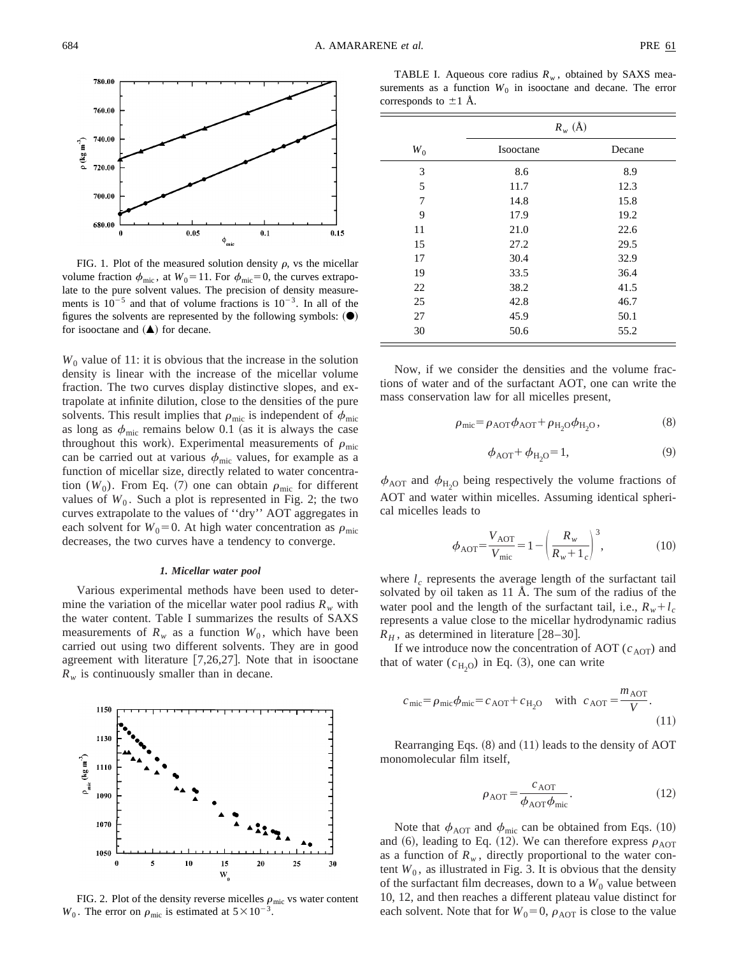

FIG. 1. Plot of the measured solution density  $\rho$ , vs the micellar volume fraction  $\phi_{\text{mic}}$ , at  $W_0 = 11$ . For  $\phi_{\text{mic}} = 0$ , the curves extrapolate to the pure solvent values. The precision of density measurements is  $10^{-5}$  and that of volume fractions is  $10^{-3}$ . In all of the figures the solvents are represented by the following symbols:  $(\bullet)$ for isooctane and  $($  $\blacktriangle)$  for decane.

 $W_0$  value of 11: it is obvious that the increase in the solution density is linear with the increase of the micellar volume fraction. The two curves display distinctive slopes, and extrapolate at infinite dilution, close to the densities of the pure solvents. This result implies that  $\rho_{\text{mic}}$  is independent of  $\phi_{\text{mic}}$ as long as  $\phi_{\text{mic}}$  remains below 0.1 (as it is always the case throughout this work). Experimental measurements of  $\rho_{\text{mic}}$ can be carried out at various  $\phi_{\text{mic}}$  values, for example as a function of micellar size, directly related to water concentration  $(W_0)$ . From Eq. (7) one can obtain  $\rho_{\text{mic}}$  for different values of  $W_0$ . Such a plot is represented in Fig. 2; the two curves extrapolate to the values of ''dry'' AOT aggregates in each solvent for  $W_0=0$ . At high water concentration as  $\rho_{\text{mic}}$ decreases, the two curves have a tendency to converge.

## *1. Micellar water pool*

Various experimental methods have been used to determine the variation of the micellar water pool radius  $R_w$  with the water content. Table I summarizes the results of SAXS measurements of  $R_w$  as a function  $W_0$ , which have been carried out using two different solvents. They are in good agreement with literature  $[7,26,27]$ . Note that in isooctane  $R_w$  is continuously smaller than in decane.



FIG. 2. Plot of the density reverse micelles  $\rho_{\rm mic}$  vs water content  $W_0$ . The error on  $\rho_{\text{mic}}$  is estimated at  $5 \times 10^{-3}$ .

TABLE I. Aqueous core radius  $R_w$ , obtained by SAXS measurements as a function  $W_0$  in isooctane and decane. The error corresponds to  $\pm 1$  Å.

|       | $R_w(\AA)$ |        |  |
|-------|------------|--------|--|
| $W_0$ | Isooctane  | Decane |  |
| 3     | 8.6        | 8.9    |  |
| 5     | 11.7       | 12.3   |  |
| 7     | 14.8       | 15.8   |  |
| 9     | 17.9       | 19.2   |  |
| 11    | 21.0       | 22.6   |  |
| 15    | 27.2       | 29.5   |  |
| 17    | 30.4       | 32.9   |  |
| 19    | 33.5       | 36.4   |  |
| 22    | 38.2       | 41.5   |  |
| 25    | 42.8       | 46.7   |  |
| 27    | 45.9       | 50.1   |  |
| 30    | 50.6       | 55.2   |  |

Now, if we consider the densities and the volume fractions of water and of the surfactant AOT, one can write the mass conservation law for all micelles present,

$$
\rho_{\rm mic} = \rho_{\rm AOT} \phi_{\rm AOT} + \rho_{\rm H_2O} \phi_{\rm H_2O},\tag{8}
$$

$$
\phi_{AOT} + \phi_{H_2O} = 1,\tag{9}
$$

 $\phi_{\text{AOT}}$  and  $\phi_{\text{H}_2\text{O}}$  being respectively the volume fractions of AOT and water within micelles. Assuming identical spherical micelles leads to

$$
\phi_{\text{AOT}} = \frac{V_{\text{AOT}}}{V_{\text{mic}}} = 1 - \left(\frac{R_w}{R_w + 1_c}\right)^3,\tag{10}
$$

where  $l_c$  represents the average length of the surfactant tail solvated by oil taken as 11 Å. The sum of the radius of the water pool and the length of the surfactant tail, i.e.,  $R_w + l_c$ represents a value close to the micellar hydrodynamic radius  $R_H$ , as determined in literature [28–30].

If we introduce now the concentration of AOT  $(c<sub>AOT</sub>)$  and that of water  $(c_{H_2O})$  in Eq. (3), one can write

$$
c_{\text{mic}} = \rho_{\text{mic}} \phi_{\text{mic}} = c_{\text{AOT}} + c_{\text{H}_2\text{O}} \quad \text{with} \quad c_{\text{AOT}} = \frac{m_{\text{AOT}}}{V}.
$$
\n(11)

Rearranging Eqs.  $(8)$  and  $(11)$  leads to the density of AOT monomolecular film itself,

$$
\rho_{\text{AOT}} = \frac{c_{\text{AOT}}}{\phi_{\text{AOT}} \phi_{\text{mic}}}.
$$
\n(12)

Note that  $\phi_{\text{AOT}}$  and  $\phi_{\text{mic}}$  can be obtained from Eqs. (10) and (6), leading to Eq. (12). We can therefore express  $\rho_{\text{AOT}}$ as a function of  $R_w$ , directly proportional to the water content  $W_0$ , as illustrated in Fig. 3. It is obvious that the density of the surfactant film decreases, down to a  $W_0$  value between 10, 12, and then reaches a different plateau value distinct for each solvent. Note that for  $W_0=0$ ,  $\rho_{\text{AOT}}$  is close to the value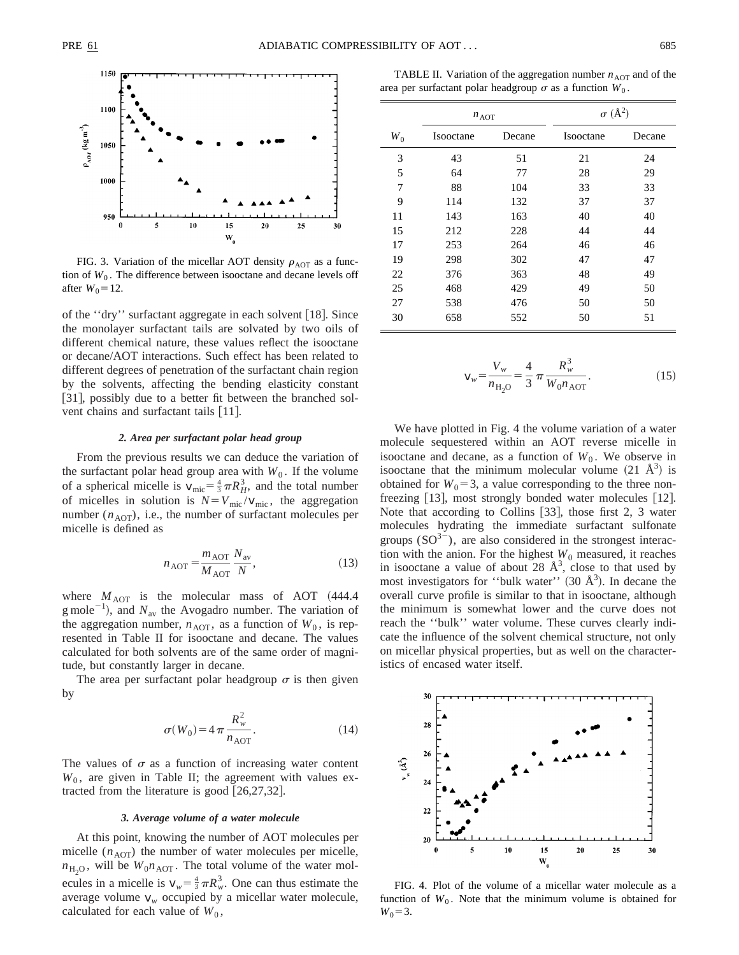

FIG. 3. Variation of the micellar AOT density  $\rho_{\text{AOT}}$  as a function of  $W_0$ . The difference between isooctane and decane levels off after  $W_0 = 12$ .

of the "dry" surfactant aggregate in each solvent [18]. Since the monolayer surfactant tails are solvated by two oils of different chemical nature, these values reflect the isooctane or decane/AOT interactions. Such effect has been related to different degrees of penetration of the surfactant chain region by the solvents, affecting the bending elasticity constant [31], possibly due to a better fit between the branched solvent chains and surfactant tails [11].

#### *2. Area per surfactant polar head group*

From the previous results we can deduce the variation of the surfactant polar head group area with  $W_0$ . If the volume of a spherical micelle is  $v_{\text{mic}} = \frac{4}{3} \pi R_H^3$ , and the total number of micelles in solution is  $N = V_{\text{mic}} / V_{\text{mic}}$ , the aggregation number  $(n<sub>AOT</sub>)$ , i.e., the number of surfactant molecules per micelle is defined as

$$
n_{\text{AOT}} = \frac{m_{\text{AOT}}}{M_{\text{AOT}}} \frac{N_{\text{av}}}{N},\tag{13}
$$

where  $M_{\text{AOT}}$  is the molecular mass of AOT  $(444.4)$ g mole<sup>-1</sup>), and  $N_{\text{av}}$  the Avogadro number. The variation of the aggregation number,  $n_{\text{AOT}}$ , as a function of  $W_0$ , is represented in Table II for isooctane and decane. The values calculated for both solvents are of the same order of magnitude, but constantly larger in decane.

The area per surfactant polar headgroup  $\sigma$  is then given by

$$
\sigma(W_0) = 4 \pi \frac{R_w^2}{n_{\text{AOT}}}.
$$
\n(14)

The values of  $\sigma$  as a function of increasing water content  $W_0$ , are given in Table II; the agreement with values extracted from the literature is good  $[26,27,32]$ .

## *3. Average volume of a water molecule*

At this point, knowing the number of AOT molecules per micelle  $(n<sub>AOT</sub>)$  the number of water molecules per micelle,  $n_{\text{H}_2\text{O}}$ , will be  $W_0 n_{\text{AOT}}$ . The total volume of the water molecules in a micelle is  $v_w = \frac{4}{3} \pi R_w^3$ . One can thus estimate the average volume  $v_w$  occupied by a micellar water molecule, calculated for each value of  $W_0$ ,

TABLE II. Variation of the aggregation number  $n_{\text{AOT}}$  and of the area per surfactant polar headgroup  $\sigma$  as a function  $W_0$ .

|       | $n_{\text{AOT}}$ |        | $\sigma$ (Å <sup>2</sup> ) |        |
|-------|------------------|--------|----------------------------|--------|
| $W_0$ | Isooctane        | Decane | Isooctane                  | Decane |
| 3     | 43               | 51     | 21                         | 24     |
| 5     | 64               | 77     | 28                         | 29     |
| 7     | 88               | 104    | 33                         | 33     |
| 9     | 114              | 132    | 37                         | 37     |
| 11    | 143              | 163    | 40                         | 40     |
| 15    | 212              | 228    | 44                         | 44     |
| 17    | 253              | 264    | 46                         | 46     |
| 19    | 298              | 302    | 47                         | 47     |
| 22    | 376              | 363    | 48                         | 49     |
| 25    | 468              | 429    | 49                         | 50     |
| 27    | 538              | 476    | 50                         | 50     |
| 30    | 658              | 552    | 50                         | 51     |

$$
V_w = \frac{V_w}{n_{\text{H}_2\text{O}}} = \frac{4}{3} \pi \frac{R_w^3}{W_0 n_{\text{AOT}}}.
$$
 (15)

We have plotted in Fig. 4 the volume variation of a water molecule sequestered within an AOT reverse micelle in isooctane and decane, as a function of  $W_0$ . We observe in isooctane that the minimum molecular volume  $(21 \text{ Å}^3)$  is obtained for  $W_0 = 3$ , a value corresponding to the three nonfreezing  $[13]$ , most strongly bonded water molecules  $[12]$ . Note that according to Collins  $[33]$ , those first 2, 3 water molecules hydrating the immediate surfactant sulfonate groups  $(SO^{3-})$ , are also considered in the strongest interaction with the anion. For the highest  $W_0$  measured, it reaches in isooctane a value of about 28  $\AA^3$ , close to that used by most investigators for "bulk water" (30  $\AA$ <sup>3</sup>). In decane the overall curve profile is similar to that in isooctane, although the minimum is somewhat lower and the curve does not reach the ''bulk'' water volume. These curves clearly indicate the influence of the solvent chemical structure, not only on micellar physical properties, but as well on the characteristics of encased water itself.



FIG. 4. Plot of the volume of a micellar water molecule as a function of  $W_0$ . Note that the minimum volume is obtained for  $W_0 = 3$ .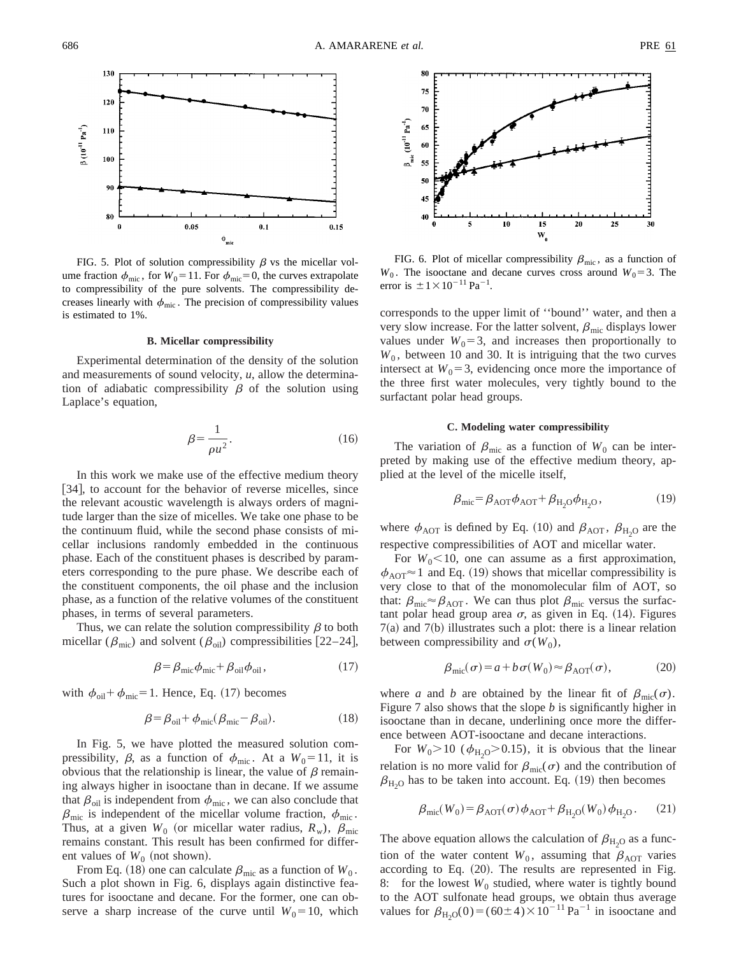

FIG. 5. Plot of solution compressibility  $\beta$  vs the micellar volume fraction  $\phi_{\text{mic}}$ , for  $W_0 = 11$ . For  $\phi_{\text{mic}} = 0$ , the curves extrapolate to compressibility of the pure solvents. The compressibility decreases linearly with  $\phi_{\text{mic}}$ . The precision of compressibility values is estimated to 1%.

#### **B. Micellar compressibility**

Experimental determination of the density of the solution and measurements of sound velocity, *u*, allow the determination of adiabatic compressibility  $\beta$  of the solution using Laplace's equation,

$$
\beta = \frac{1}{\rho u^2}.\tag{16}
$$

In this work we make use of the effective medium theory [34], to account for the behavior of reverse micelles, since the relevant acoustic wavelength is always orders of magnitude larger than the size of micelles. We take one phase to be the continuum fluid, while the second phase consists of micellar inclusions randomly embedded in the continuous phase. Each of the constituent phases is described by parameters corresponding to the pure phase. We describe each of the constituent components, the oil phase and the inclusion phase, as a function of the relative volumes of the constituent phases, in terms of several parameters.

Thus, we can relate the solution compressibility  $\beta$  to both micellar ( $\beta_{\rm mic}$ ) and solvent ( $\beta_{\rm oil}$ ) compressibilities [22–24],

$$
\beta = \beta_{\text{mic}} \phi_{\text{mic}} + \beta_{\text{oil}} \phi_{\text{oil}},\tag{17}
$$

with  $\phi_{\text{oil}} + \phi_{\text{mic}} = 1$ . Hence, Eq. (17) becomes

$$
\beta = \beta_{\text{oil}} + \phi_{\text{mic}}(\beta_{\text{mic}} - \beta_{\text{oil}}). \tag{18}
$$

In Fig. 5, we have plotted the measured solution compressibility,  $\beta$ , as a function of  $\phi_{\text{mic}}$ . At a  $W_0 = 11$ , it is obvious that the relationship is linear, the value of  $\beta$  remaining always higher in isooctane than in decane. If we assume that  $\beta_{\text{oil}}$  is independent from  $\phi_{\text{mic}}$ , we can also conclude that  $\beta_{\rm mic}$  is independent of the micellar volume fraction,  $\phi_{\rm mic}$ . Thus, at a given  $W_0$  (or micellar water radius,  $R_w$ ),  $\beta_{\text{mic}}$ remains constant. This result has been confirmed for different values of  $W_0$  (not shown).

From Eq. (18) one can calculate  $\beta_{\rm mic}$  as a function of  $W_0$ . Such a plot shown in Fig. 6, displays again distinctive features for isooctane and decane. For the former, one can observe a sharp increase of the curve until  $W_0 = 10$ , which



FIG. 6. Plot of micellar compressibility  $\beta_{\rm mic}$ , as a function of  $W_0$ . The isooctane and decane curves cross around  $W_0 = 3$ . The error is  $\pm 1 \times 10^{-11}$  Pa<sup>-1</sup>.

corresponds to the upper limit of ''bound'' water, and then a very slow increase. For the latter solvent,  $\beta_{\rm mic}$  displays lower values under  $W_0 = 3$ , and increases then proportionally to  $W<sub>0</sub>$ , between 10 and 30. It is intriguing that the two curves intersect at  $W_0 = 3$ , evidencing once more the importance of the three first water molecules, very tightly bound to the surfactant polar head groups.

## **C. Modeling water compressibility**

The variation of  $\beta_{\rm mic}$  as a function of  $W_0$  can be interpreted by making use of the effective medium theory, applied at the level of the micelle itself,

$$
\beta_{\rm mic} = \beta_{\rm AOT} \phi_{\rm AOT} + \beta_{\rm H_2O} \phi_{\rm H_2O},\tag{19}
$$

where  $\phi_{AOT}$  is defined by Eq. (10) and  $\beta_{AOT}$ ,  $\beta_{H_2O}$  are the respective compressibilities of AOT and micellar water.

For  $W_0$ <10, one can assume as a first approximation,  $\phi_{\text{AOT}} \approx 1$  and Eq. (19) shows that micellar compressibility is very close to that of the monomolecular film of AOT, so that:  $\beta_{\rm mic} \approx \beta_{\rm AOT}$ . We can thus plot  $\beta_{\rm mic}$  versus the surfactant polar head group area  $\sigma$ , as given in Eq. (14). Figures  $7(a)$  and  $7(b)$  illustrates such a plot: there is a linear relation between compressibility and  $\sigma(W_0)$ ,

$$
\beta_{\text{mic}}(\sigma) = a + b \sigma(W_0) \approx \beta_{\text{AOT}}(\sigma), \tag{20}
$$

where *a* and *b* are obtained by the linear fit of  $\beta_{\rm mic}(\sigma)$ . Figure 7 also shows that the slope *b* is significantly higher in isooctane than in decane, underlining once more the difference between AOT-isooctane and decane interactions.

For  $W_0 > 10$  ( $\phi_{H_2O} > 0.15$ ), it is obvious that the linear relation is no more valid for  $\beta_{\text{mic}}(\sigma)$  and the contribution of  $\beta_{\rm H_2O}$  has to be taken into account. Eq. (19) then becomes

$$
\beta_{\text{mic}}(W_0) = \beta_{\text{AOT}}(\sigma) \phi_{\text{AOT}} + \beta_{\text{H}_2\text{O}}(W_0) \phi_{\text{H}_2\text{O}}.
$$
 (21)

The above equation allows the calculation of  $\beta_{\rm H_2O}$  as a function of the water content  $W_0$ , assuming that  $\beta_{\text{AOT}}$  varies according to Eq.  $(20)$ . The results are represented in Fig. 8: for the lowest  $W_0$  studied, where water is tightly bound to the AOT sulfonate head groups, we obtain thus average values for  $\beta_{\text{H}_2\text{O}}(0) = (60\pm4) \times 10^{-11} \text{ Pa}^{-1}$  in isooctane and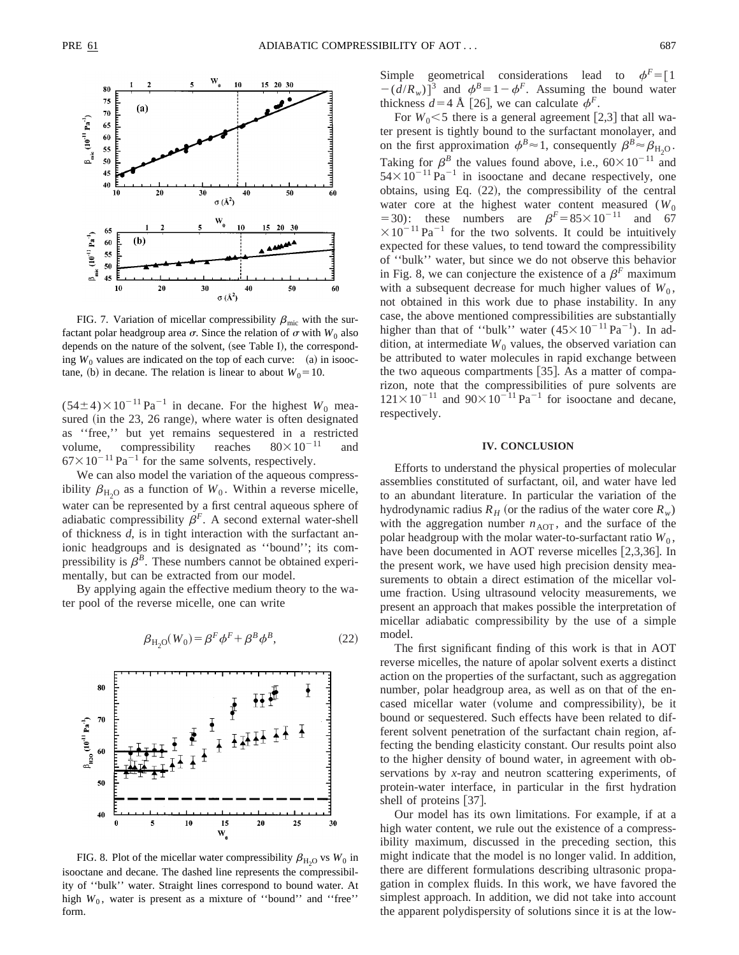

FIG. 7. Variation of micellar compressibility  $\beta_{\rm mic}$  with the surfactant polar headgroup area  $\sigma$ . Since the relation of  $\sigma$  with *W*<sub>0</sub> also depends on the nature of the solvent, (see Table I), the corresponding  $W_0$  values are indicated on the top of each curve:  $(a)$  in isooctane, (b) in decane. The relation is linear to about  $W_0 = 10$ .

 $(54\pm4)\times10^{-11}$  Pa<sup>-1</sup> in decane. For the highest *W*<sub>0</sub> measured (in the  $23$ ,  $26$  range), where water is often designated as ''free,'' but yet remains sequestered in a restricted volume, compressibility reaches  $80\times10^{-11}$  and  $67\times10^{-11}$  Pa<sup>-1</sup> for the same solvents, respectively.

We can also model the variation of the aqueous compressibility  $\beta_{\rm H_2O}$  as a function of  $W_0$ . Within a reverse micelle, water can be represented by a first central aqueous sphere of adiabatic compressibility  $\beta^F$ . A second external water-shell of thickness *d*, is in tight interaction with the surfactant anionic headgroups and is designated as ''bound''; its compressibility is  $\beta^B$ . These numbers cannot be obtained experimentally, but can be extracted from our model.

By applying again the effective medium theory to the water pool of the reverse micelle, one can write

$$
\beta_{\mathrm{H}_2\mathrm{O}}(W_0) = \beta^F \phi^F + \beta^B \phi^B,\tag{22}
$$



FIG. 8. Plot of the micellar water compressibility  $\beta_{\rm H, O}$  vs *W*<sub>0</sub> in isooctane and decane. The dashed line represents the compressibility of ''bulk'' water. Straight lines correspond to bound water. At high  $W_0$ , water is present as a mixture of "bound" and "free" form.

Simple geometrical considerations lead to  $\phi^F = \begin{bmatrix} 1 \end{bmatrix}$  $-(d/R_w)^{3}$  and  $\phi^B=1-\phi^F$ . Assuming the bound water thickness  $d=4$  Å [26], we can calculate  $\phi^F$ .

For  $W_0$ <5 there is a general agreement [2,3] that all water present is tightly bound to the surfactant monolayer, and on the first approximation  $\phi^B \approx 1$ , consequently  $\beta^B \approx \beta_{H_2O}$ . Taking for  $\beta^B$  the values found above, i.e.,  $60 \times 10^{-11}$  and  $54\times10^{-11}$  Pa<sup>-1</sup> in isooctane and decane respectively, one obtains, using Eq.  $(22)$ , the compressibility of the central water core at the highest water content measured  $(W_0)$ =30): these numbers are  $\beta^F = 85 \times 10^{-11}$  and 67  $\times 10^{-11}$  Pa<sup>-1</sup> for the two solvents. It could be intuitively expected for these values, to tend toward the compressibility of ''bulk'' water, but since we do not observe this behavior in Fig. 8, we can conjecture the existence of a  $\beta^F$  maximum with a subsequent decrease for much higher values of  $W_0$ , not obtained in this work due to phase instability. In any case, the above mentioned compressibilities are substantially higher than that of "bulk" water  $(45 \times 10^{-11} \text{ Pa}^{-1})$ . In addition, at intermediate  $W_0$  values, the observed variation can be attributed to water molecules in rapid exchange between the two aqueous compartments  $[35]$ . As a matter of comparizon, note that the compressibilities of pure solvents are  $121\times10^{-11}$  and  $90\times10^{-11}$  Pa<sup>-1</sup> for isooctane and decane, respectively.

# **IV. CONCLUSION**

Efforts to understand the physical properties of molecular assemblies constituted of surfactant, oil, and water have led to an abundant literature. In particular the variation of the hydrodynamic radius  $R_H$  (or the radius of the water core  $R_w$ ) with the aggregation number  $n_{\text{AOT}}$ , and the surface of the polar headgroup with the molar water-to-surfactant ratio  $W_0$ , have been documented in AOT reverse micelles  $[2,3,36]$ . In the present work, we have used high precision density measurements to obtain a direct estimation of the micellar volume fraction. Using ultrasound velocity measurements, we present an approach that makes possible the interpretation of micellar adiabatic compressibility by the use of a simple model.

The first significant finding of this work is that in AOT reverse micelles, the nature of apolar solvent exerts a distinct action on the properties of the surfactant, such as aggregation number, polar headgroup area, as well as on that of the encased micellar water (volume and compressibility), be it bound or sequestered. Such effects have been related to different solvent penetration of the surfactant chain region, affecting the bending elasticity constant. Our results point also to the higher density of bound water, in agreement with observations by *x*-ray and neutron scattering experiments, of protein-water interface, in particular in the first hydration shell of proteins  $[37]$ .

Our model has its own limitations. For example, if at a high water content, we rule out the existence of a compressibility maximum, discussed in the preceding section, this might indicate that the model is no longer valid. In addition, there are different formulations describing ultrasonic propagation in complex fluids. In this work, we have favored the simplest approach. In addition, we did not take into account the apparent polydispersity of solutions since it is at the low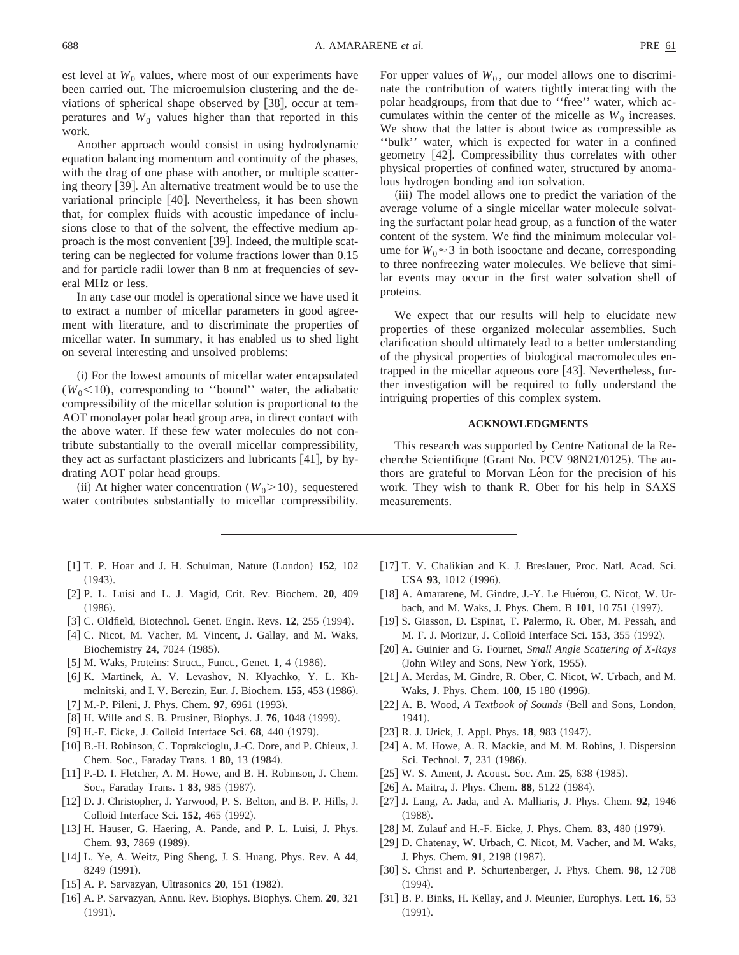est level at  $W_0$  values, where most of our experiments have been carried out. The microemulsion clustering and the deviations of spherical shape observed by  $[38]$ , occur at temperatures and  $W_0$  values higher than that reported in this work.

Another approach would consist in using hydrodynamic equation balancing momentum and continuity of the phases, with the drag of one phase with another, or multiple scattering theory  $\lceil 39 \rceil$ . An alternative treatment would be to use the variational principle [40]. Nevertheless, it has been shown that, for complex fluids with acoustic impedance of inclusions close to that of the solvent, the effective medium approach is the most convenient  $\vert 39 \vert$ . Indeed, the multiple scattering can be neglected for volume fractions lower than 0.15 and for particle radii lower than 8 nm at frequencies of several MHz or less.

In any case our model is operational since we have used it to extract a number of micellar parameters in good agreement with literature, and to discriminate the properties of micellar water. In summary, it has enabled us to shed light on several interesting and unsolved problems:

(i) For the lowest amounts of micellar water encapsulated  $(W_0<10)$ , corresponding to "bound" water, the adiabatic compressibility of the micellar solution is proportional to the AOT monolayer polar head group area, in direct contact with the above water. If these few water molecules do not contribute substantially to the overall micellar compressibility, they act as surfactant plasticizers and lubricants  $[41]$ , by hydrating AOT polar head groups.

(ii) At higher water concentration ( $W_0$ >10), sequestered water contributes substantially to micellar compressibility.

- [1] T. P. Hoar and J. H. Schulman, Nature (London) 152, 102  $(1943).$
- [2] P. L. Luisi and L. J. Magid, Crit. Rev. Biochem. **20**, 409  $(1986).$
- [3] C. Oldfield, Biotechnol. Genet. Engin. Revs. 12, 255 (1994).
- [4] C. Nicot, M. Vacher, M. Vincent, J. Gallay, and M. Waks, Biochemistry **24**, 7024 (1985).
- [5] M. Waks, Proteins: Struct., Funct., Genet. 1, 4 (1986).
- [6] K. Martinek, A. V. Levashov, N. Klyachko, Y. L. Khmelnitski, and I. V. Berezin, Eur. J. Biochem. **155**, 453 (1986). [7] M.-P. Pileni, J. Phys. Chem. 97, 6961 (1993).
- 
- [8] H. Wille and S. B. Prusiner, Biophys. J. **76**, 1048 (1999).
- [9] H.-F. Eicke, J. Colloid Interface Sci. **68**, 440 (1979).
- [10] B.-H. Robinson, C. Toprakcioglu, J.-C. Dore, and P. Chieux, J. Chem. Soc., Faraday Trans. 1 **80**, 13 (1984).
- [11] P.-D. I. Fletcher, A. M. Howe, and B. H. Robinson, J. Chem. Soc., Faraday Trans. 1 83, 985 (1987).
- [12] D. J. Christopher, J. Yarwood, P. S. Belton, and B. P. Hills, J. Colloid Interface Sci. **152**, 465 (1992).
- [13] H. Hauser, G. Haering, A. Pande, and P. L. Luisi, J. Phys. Chem. 93, 7869 (1989).
- [14] L. Ye, A. Weitz, Ping Sheng, J. S. Huang, Phys. Rev. A 44, 8249 (1991).
- [15] A. P. Sarvazyan, Ultrasonics **20**, 151 (1982).
- [16] A. P. Sarvazyan, Annu. Rev. Biophys. Biophys. Chem. **20**, 321  $(1991).$

For upper values of  $W_0$ , our model allows one to discriminate the contribution of waters tightly interacting with the polar headgroups, from that due to ''free'' water, which accumulates within the center of the micelle as  $W_0$  increases. We show that the latter is about twice as compressible as ''bulk'' water, which is expected for water in a confined geometry [42]. Compressibility thus correlates with other physical properties of confined water, structured by anomalous hydrogen bonding and ion solvation.

(iii) The model allows one to predict the variation of the average volume of a single micellar water molecule solvating the surfactant polar head group, as a function of the water content of the system. We find the minimum molecular volume for  $W_0 \approx 3$  in both isooctane and decane, corresponding to three nonfreezing water molecules. We believe that similar events may occur in the first water solvation shell of proteins.

We expect that our results will help to elucidate new properties of these organized molecular assemblies. Such clarification should ultimately lead to a better understanding of the physical properties of biological macromolecules entrapped in the micellar aqueous core [43]. Nevertheless, further investigation will be required to fully understand the intriguing properties of this complex system.

# **ACKNOWLEDGMENTS**

This research was supported by Centre National de la Recherche Scientifique (Grant No. PCV 98N21/0125). The authors are grateful to Morvan Léon for the precision of his work. They wish to thank R. Ober for his help in SAXS measurements.

- [17] T. V. Chalikian and K. J. Breslauer, Proc. Natl. Acad. Sci. USA 93, 1012 (1996).
- [18] A. Amararene, M. Gindre, J.-Y. Le Huérou, C. Nicot, W. Urbach, and M. Waks, J. Phys. Chem. B 101, 10 751 (1997).
- [19] S. Giasson, D. Espinat, T. Palermo, R. Ober, M. Pessah, and M. F. J. Morizur, J. Colloid Interface Sci. 153, 355 (1992).
- [20] A. Guinier and G. Fournet, *Small Angle Scattering of X-Rays* (John Wiley and Sons, New York, 1955).
- [21] A. Merdas, M. Gindre, R. Ober, C. Nicot, W. Urbach, and M. Waks, J. Phys. Chem. **100**, 15 180 (1996).
- [22] A. B. Wood, *A Textbook of Sounds* (Bell and Sons, London, 1941).
- [23] R. J. Urick, J. Appl. Phys. **18**, 983 (1947).
- [24] A. M. Howe, A. R. Mackie, and M. M. Robins, J. Dispersion Sci. Technol. **7**, 231 (1986).
- [25] W. S. Ament, J. Acoust. Soc. Am. 25, 638 (1985).
- [26] A. Maitra, J. Phys. Chem. 88, 5122 (1984).
- @27# J. Lang, A. Jada, and A. Malliaris, J. Phys. Chem. **92**, 1946  $(1988).$
- [28] M. Zulauf and H.-F. Eicke, J. Phys. Chem. **83**, 480 (1979).
- [29] D. Chatenay, W. Urbach, C. Nicot, M. Vacher, and M. Waks, J. Phys. Chem. 91, 2198 (1987).
- [30] S. Christ and P. Schurtenberger, J. Phys. Chem. **98**, 12708  $(1994).$
- [31] B. P. Binks, H. Kellay, and J. Meunier, Europhys. Lett. **16**, 53  $(1991).$